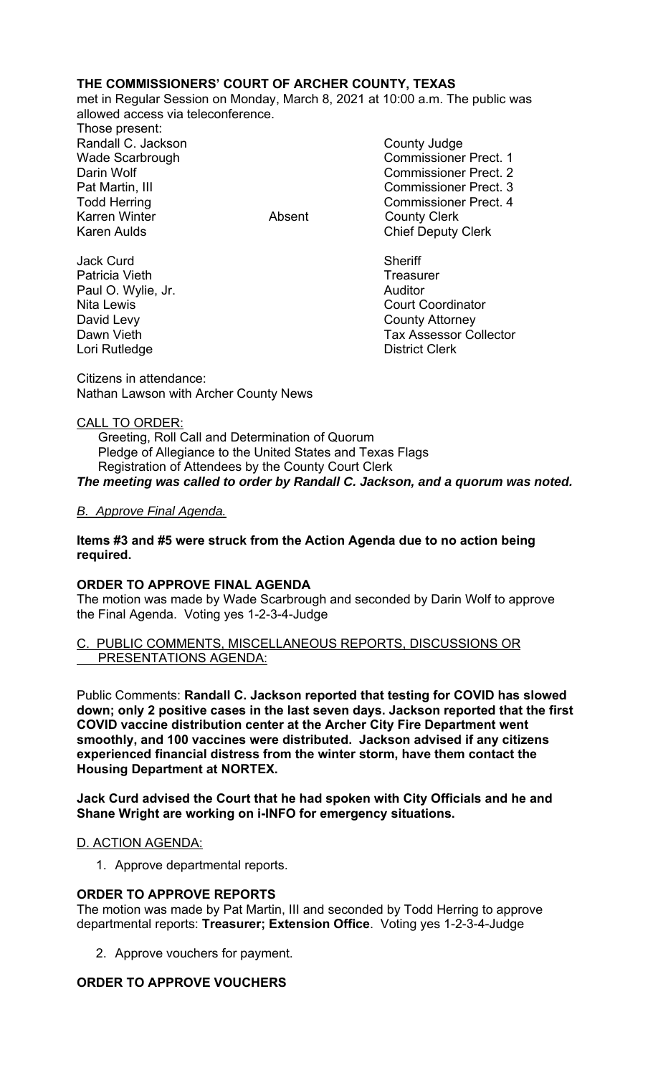# **THE COMMISSIONERS' COURT OF ARCHER COUNTY, TEXAS**

met in Regular Session on Monday, March 8, 2021 at 10:00 a.m. The public was allowed access via teleconference.

Those present: Randall C. Jackson **County Judge County Judge** Karren Winter **Absent** County Clerk Karen Aulds **Chief Deputy Clerk** 

Jack Curd **Sheriff** Patricia Vieth **Treasurer** Treasurer Paul O. Wylie, Jr. **Auditor Paul O. Wylie, Jr. Auditor** David Levy **County Attorney** Lori Rutledge **District Clerk** 

Wade Scarbrough Commissioner Prect. 1 Darin Wolf Commissioner Prect. 2 Pat Martin, III Commissioner Prect. 3 Todd Herring Todd Exercise Commissioner Prect. 4

Nita Lewis Court Coordinator Dawn Vieth Tax Assessor Collector

Citizens in attendance: Nathan Lawson with Archer County News

## CALL TO ORDER:

 Greeting, Roll Call and Determination of Quorum Pledge of Allegiance to the United States and Texas Flags Registration of Attendees by the County Court Clerk *The meeting was called to order by Randall C. Jackson, and a quorum was noted.* 

## *B. Approve Final Agenda.*

## **Items #3 and #5 were struck from the Action Agenda due to no action being required.**

## **ORDER TO APPROVE FINAL AGENDA**

The motion was made by Wade Scarbrough and seconded by Darin Wolf to approve the Final Agenda. Voting yes 1-2-3-4-Judge

## C. PUBLIC COMMENTS, MISCELLANEOUS REPORTS, DISCUSSIONS OR PRESENTATIONS AGENDA:

Public Comments: **Randall C. Jackson reported that testing for COVID has slowed down; only 2 positive cases in the last seven days. Jackson reported that the first COVID vaccine distribution center at the Archer City Fire Department went smoothly, and 100 vaccines were distributed. Jackson advised if any citizens experienced financial distress from the winter storm, have them contact the Housing Department at NORTEX.** 

**Jack Curd advised the Court that he had spoken with City Officials and he and Shane Wright are working on i-INFO for emergency situations.** 

## D. ACTION AGENDA:

1. Approve departmental reports.

#### **ORDER TO APPROVE REPORTS**

The motion was made by Pat Martin, III and seconded by Todd Herring to approve departmental reports: **Treasurer; Extension Office**. Voting yes 1-2-3-4-Judge

2. Approve vouchers for payment.

## **ORDER TO APPROVE VOUCHERS**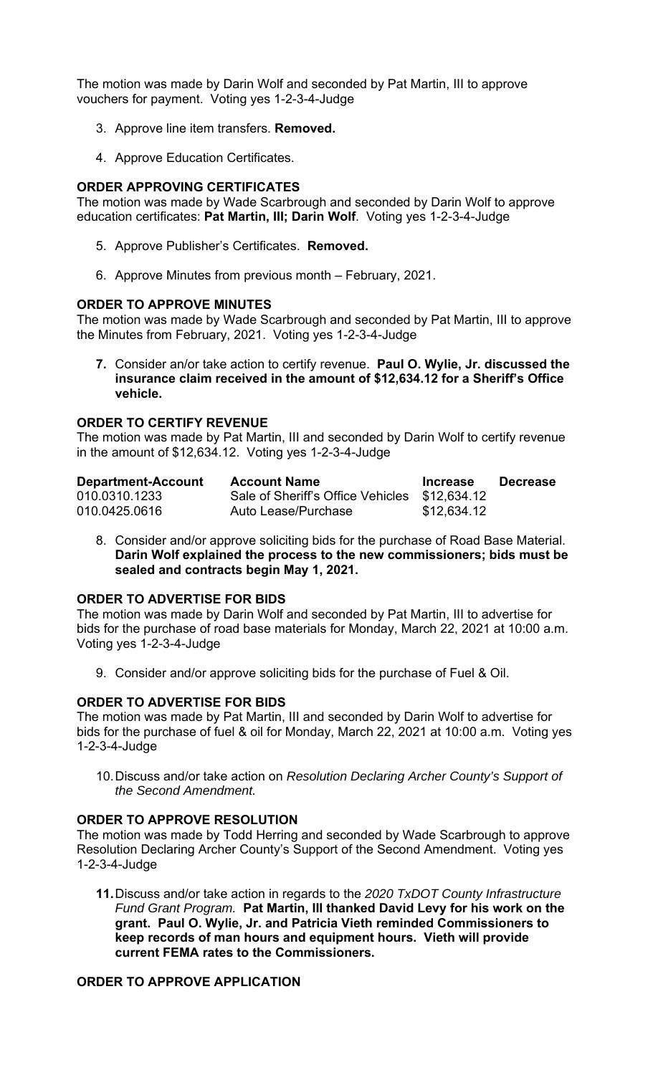The motion was made by Darin Wolf and seconded by Pat Martin, III to approve vouchers for payment. Voting yes 1-2-3-4-Judge

- 3. Approve line item transfers. **Removed.**
- 4. Approve Education Certificates.

## **ORDER APPROVING CERTIFICATES**

The motion was made by Wade Scarbrough and seconded by Darin Wolf to approve education certificates: **Pat Martin, III; Darin Wolf**. Voting yes 1-2-3-4-Judge

- 5. Approve Publisher's Certificates. **Removed.**
- 6. Approve Minutes from previous month February, 2021.

## **ORDER TO APPROVE MINUTES**

The motion was made by Wade Scarbrough and seconded by Pat Martin, III to approve the Minutes from February, 2021. Voting yes 1-2-3-4-Judge

**7.** Consider an/or take action to certify revenue. **Paul O. Wylie, Jr. discussed the insurance claim received in the amount of \$12,634.12 for a Sheriff's Office vehicle.** 

## **ORDER TO CERTIFY REVENUE**

The motion was made by Pat Martin, III and seconded by Darin Wolf to certify revenue in the amount of \$12,634.12. Voting yes 1-2-3-4-Judge

| <b>Department-Account</b> | <b>Account Name</b>                           | <b>Increase</b> | <b>Decrease</b> |
|---------------------------|-----------------------------------------------|-----------------|-----------------|
| 010.0310.1233             | Sale of Sheriff's Office Vehicles \$12,634.12 |                 |                 |
| 010.0425.0616             | Auto Lease/Purchase                           | \$12,634.12     |                 |

8. Consider and/or approve soliciting bids for the purchase of Road Base Material. **Darin Wolf explained the process to the new commissioners; bids must be sealed and contracts begin May 1, 2021.**

## **ORDER TO ADVERTISE FOR BIDS**

The motion was made by Darin Wolf and seconded by Pat Martin, III to advertise for bids for the purchase of road base materials for Monday, March 22, 2021 at 10:00 a.m. Voting yes 1-2-3-4-Judge

9. Consider and/or approve soliciting bids for the purchase of Fuel & Oil.

#### **ORDER TO ADVERTISE FOR BIDS**

The motion was made by Pat Martin, III and seconded by Darin Wolf to advertise for bids for the purchase of fuel & oil for Monday, March 22, 2021 at 10:00 a.m. Voting yes 1-2-3-4-Judge

10. Discuss and/or take action on *Resolution Declaring Archer County's Support of the Second Amendment.*

### **ORDER TO APPROVE RESOLUTION**

The motion was made by Todd Herring and seconded by Wade Scarbrough to approve Resolution Declaring Archer County's Support of the Second Amendment. Voting yes 1-2-3-4-Judge

**11.** Discuss and/or take action in regards to the *2020 TxDOT County Infrastructure Fund Grant Program.* **Pat Martin, III thanked David Levy for his work on the grant. Paul O. Wylie, Jr. and Patricia Vieth reminded Commissioners to keep records of man hours and equipment hours. Vieth will provide current FEMA rates to the Commissioners.** 

# **ORDER TO APPROVE APPLICATION**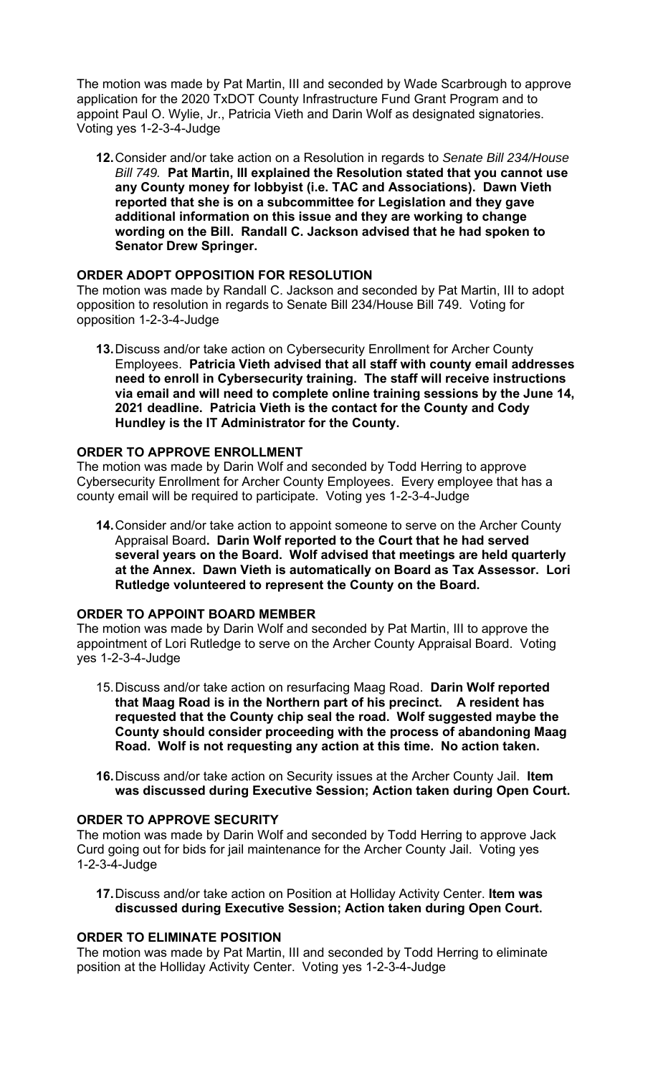The motion was made by Pat Martin, III and seconded by Wade Scarbrough to approve application for the 2020 TxDOT County Infrastructure Fund Grant Program and to appoint Paul O. Wylie, Jr., Patricia Vieth and Darin Wolf as designated signatories. Voting yes 1-2-3-4-Judge

**12.** Consider and/or take action on a Resolution in regards to *Senate Bill 234/House Bill 749.* **Pat Martin, III explained the Resolution stated that you cannot use any County money for lobbyist (i.e. TAC and Associations). Dawn Vieth reported that she is on a subcommittee for Legislation and they gave additional information on this issue and they are working to change wording on the Bill. Randall C. Jackson advised that he had spoken to Senator Drew Springer.** 

## **ORDER ADOPT OPPOSITION FOR RESOLUTION**

The motion was made by Randall C. Jackson and seconded by Pat Martin, III to adopt opposition to resolution in regards to Senate Bill 234/House Bill 749. Voting for opposition 1-2-3-4-Judge

**13.** Discuss and/or take action on Cybersecurity Enrollment for Archer County Employees. **Patricia Vieth advised that all staff with county email addresses need to enroll in Cybersecurity training. The staff will receive instructions via email and will need to complete online training sessions by the June 14, 2021 deadline. Patricia Vieth is the contact for the County and Cody Hundley is the IT Administrator for the County.** 

#### **ORDER TO APPROVE ENROLLMENT**

The motion was made by Darin Wolf and seconded by Todd Herring to approve Cybersecurity Enrollment for Archer County Employees. Every employee that has a county email will be required to participate. Voting yes 1-2-3-4-Judge

**14.** Consider and/or take action to appoint someone to serve on the Archer County Appraisal Board**. Darin Wolf reported to the Court that he had served several years on the Board. Wolf advised that meetings are held quarterly at the Annex. Dawn Vieth is automatically on Board as Tax Assessor. Lori Rutledge volunteered to represent the County on the Board.** 

#### **ORDER TO APPOINT BOARD MEMBER**

The motion was made by Darin Wolf and seconded by Pat Martin, III to approve the appointment of Lori Rutledge to serve on the Archer County Appraisal Board. Voting yes 1-2-3-4-Judge

- 15. Discuss and/or take action on resurfacing Maag Road. **Darin Wolf reported that Maag Road is in the Northern part of his precinct. A resident has requested that the County chip seal the road. Wolf suggested maybe the County should consider proceeding with the process of abandoning Maag Road. Wolf is not requesting any action at this time. No action taken.**
- **16.** Discuss and/or take action on Security issues at the Archer County Jail. **Item was discussed during Executive Session; Action taken during Open Court.**

#### **ORDER TO APPROVE SECURITY**

The motion was made by Darin Wolf and seconded by Todd Herring to approve Jack Curd going out for bids for jail maintenance for the Archer County Jail. Voting yes 1-2-3-4-Judge

**17.** Discuss and/or take action on Position at Holliday Activity Center. **Item was discussed during Executive Session; Action taken during Open Court.** 

#### **ORDER TO ELIMINATE POSITION**

The motion was made by Pat Martin, III and seconded by Todd Herring to eliminate position at the Holliday Activity Center. Voting yes 1-2-3-4-Judge